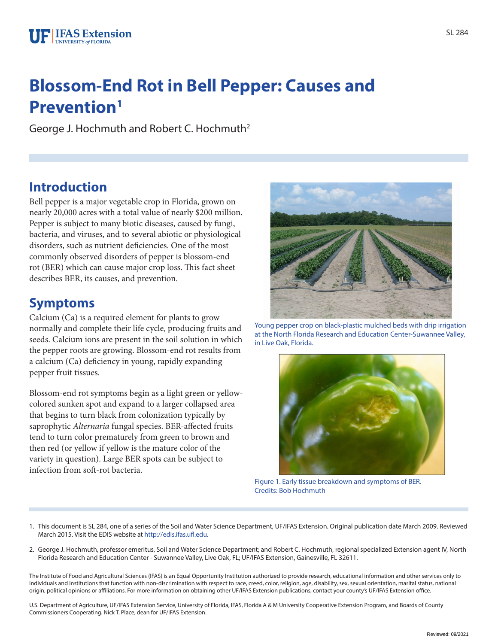# **Blossom-End Rot in Bell Pepper: Causes and Prevention1**

George J. Hochmuth and Robert C. Hochmuth2

### **Introduction**

Bell pepper is a major vegetable crop in Florida, grown on nearly 20,000 acres with a total value of nearly \$200 million. Pepper is subject to many biotic diseases, caused by fungi, bacteria, and viruses, and to several abiotic or physiological disorders, such as nutrient deficiencies. One of the most commonly observed disorders of pepper is blossom-end rot (BER) which can cause major crop loss. This fact sheet describes BER, its causes, and prevention.

### **Symptoms**

Calcium (Ca) is a required element for plants to grow normally and complete their life cycle, producing fruits and seeds. Calcium ions are present in the soil solution in which the pepper roots are growing. Blossom-end rot results from a calcium (Ca) deficiency in young, rapidly expanding pepper fruit tissues.

Blossom-end rot symptoms begin as a light green or yellowcolored sunken spot and expand to a larger collapsed area that begins to turn black from colonization typically by saprophytic *Alternaria* fungal species. BER-affected fruits tend to turn color prematurely from green to brown and then red (or yellow if yellow is the mature color of the variety in question). Large BER spots can be subject to infection from soft-rot bacteria.



Young pepper crop on black-plastic mulched beds with drip irrigation at the North Florida Research and Education Center-Suwannee Valley, in Live Oak, Florida.



Figure 1. Early tissue breakdown and symptoms of BER. Credits: Bob Hochmuth

- 1. This document is SL 284, one of a series of the Soil and Water Science Department, UF/IFAS Extension. Original publication date March 2009. Reviewed March 2015. Visit the EDIS website at http://edis.ifas.ufl.edu.
- 2. George J. Hochmuth, professor emeritus, Soil and Water Science Department; and Robert C. Hochmuth, regional specialized Extension agent IV, North Florida Research and Education Center - Suwannee Valley, Live Oak, FL; UF/IFAS Extension, Gainesville, FL 32611.

The Institute of Food and Agricultural Sciences (IFAS) is an Equal Opportunity Institution authorized to provide research, educational information and other services only to individuals and institutions that function with non-discrimination with respect to race, creed, color, religion, age, disability, sex, sexual orientation, marital status, national origin, political opinions or affiliations. For more information on obtaining other UF/IFAS Extension publications, contact your county's UF/IFAS Extension office.

U.S. Department of Agriculture, UF/IFAS Extension Service, University of Florida, IFAS, Florida A & M University Cooperative Extension Program, and Boards of County Commissioners Cooperating. Nick T. Place, dean for UF/IFAS Extension.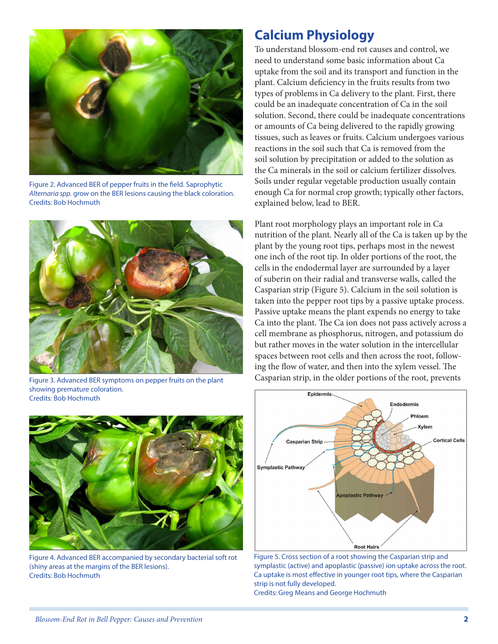

Figure 2. Advanced BER of pepper fruits in the field. Saprophytic *Alternaria spp.* grow on the BER lesions causing the black coloration. Credits: Bob Hochmuth



Figure 3. Advanced BER symptoms on pepper fruits on the plant showing premature coloration. Credits: Bob Hochmuth



Figure 4. Advanced BER accompanied by secondary bacterial soft rot (shiny areas at the margins of the BER lesions). Credits: Bob Hochmuth

#### **Calcium Physiology**

To understand blossom-end rot causes and control, we need to understand some basic information about Ca uptake from the soil and its transport and function in the plant. Calcium deficiency in the fruits results from two types of problems in Ca delivery to the plant. First, there could be an inadequate concentration of Ca in the soil solution. Second, there could be inadequate concentrations or amounts of Ca being delivered to the rapidly growing tissues, such as leaves or fruits. Calcium undergoes various reactions in the soil such that Ca is removed from the soil solution by precipitation or added to the solution as the Ca minerals in the soil or calcium fertilizer dissolves. Soils under regular vegetable production usually contain enough Ca for normal crop growth; typically other factors, explained below, lead to BER.

Plant root morphology plays an important role in Ca nutrition of the plant. Nearly all of the Ca is taken up by the plant by the young root tips, perhaps most in the newest one inch of the root tip. In older portions of the root, the cells in the endodermal layer are surrounded by a layer of suberin on their radial and transverse walls, called the Casparian strip (Figure 5). Calcium in the soil solution is taken into the pepper root tips by a passive uptake process. Passive uptake means the plant expends no energy to take Ca into the plant. The Ca ion does not pass actively across a cell membrane as phosphorus, nitrogen, and potassium do but rather moves in the water solution in the intercellular spaces between root cells and then across the root, following the flow of water, and then into the xylem vessel. The Casparian strip, in the older portions of the root, prevents



Figure 5. Cross section of a root showing the Casparian strip and symplastic (active) and apoplastic (passive) ion uptake across the root. Ca uptake is most effective in younger root tips, where the Casparian strip is not fully developed.

Credits: Greg Means and George Hochmuth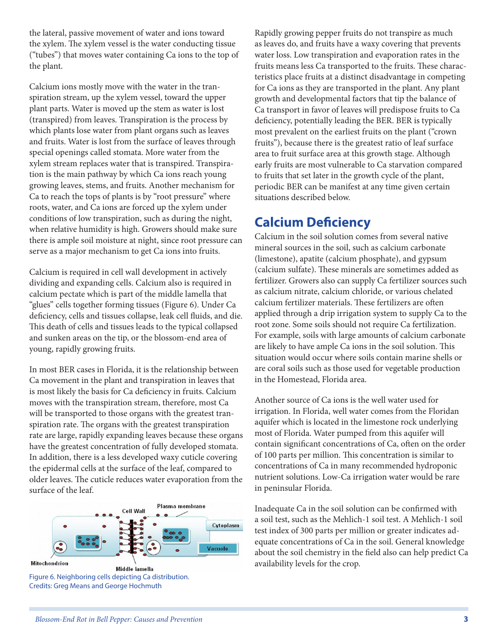the lateral, passive movement of water and ions toward the xylem. The xylem vessel is the water conducting tissue ("tubes") that moves water containing Ca ions to the top of the plant.

Calcium ions mostly move with the water in the transpiration stream, up the xylem vessel, toward the upper plant parts. Water is moved up the stem as water is lost (transpired) from leaves. Transpiration is the process by which plants lose water from plant organs such as leaves and fruits. Water is lost from the surface of leaves through special openings called stomata. More water from the xylem stream replaces water that is transpired. Transpiration is the main pathway by which Ca ions reach young growing leaves, stems, and fruits. Another mechanism for Ca to reach the tops of plants is by "root pressure" where roots, water, and Ca ions are forced up the xylem under conditions of low transpiration, such as during the night, when relative humidity is high. Growers should make sure there is ample soil moisture at night, since root pressure can serve as a major mechanism to get Ca ions into fruits.

Calcium is required in cell wall development in actively dividing and expanding cells. Calcium also is required in calcium pectate which is part of the middle lamella that "glues" cells together forming tissues (Figure 6). Under Ca deficiency, cells and tissues collapse, leak cell fluids, and die. This death of cells and tissues leads to the typical collapsed and sunken areas on the tip, or the blossom-end area of young, rapidly growing fruits.

In most BER cases in Florida, it is the relationship between Ca movement in the plant and transpiration in leaves that is most likely the basis for Ca deficiency in fruits. Calcium moves with the transpiration stream, therefore, most Ca will be transported to those organs with the greatest transpiration rate. The organs with the greatest transpiration rate are large, rapidly expanding leaves because these organs have the greatest concentration of fully developed stomata. In addition, there is a less developed waxy cuticle covering the epidermal cells at the surface of the leaf, compared to older leaves. The cuticle reduces water evaporation from the surface of the leaf.



Rapidly growing pepper fruits do not transpire as much as leaves do, and fruits have a waxy covering that prevents water loss. Low transpiration and evaporation rates in the fruits means less Ca transported to the fruits. These characteristics place fruits at a distinct disadvantage in competing for Ca ions as they are transported in the plant. Any plant growth and developmental factors that tip the balance of Ca transport in favor of leaves will predispose fruits to Ca deficiency, potentially leading the BER. BER is typically most prevalent on the earliest fruits on the plant ("crown fruits"), because there is the greatest ratio of leaf surface area to fruit surface area at this growth stage. Although early fruits are most vulnerable to Ca starvation compared to fruits that set later in the growth cycle of the plant, periodic BER can be manifest at any time given certain situations described below.

### **Calcium Deficiency**

Calcium in the soil solution comes from several native mineral sources in the soil, such as calcium carbonate (limestone), apatite (calcium phosphate), and gypsum (calcium sulfate). These minerals are sometimes added as fertilizer. Growers also can supply Ca fertilizer sources such as calcium nitrate, calcium chloride, or various chelated calcium fertilizer materials. These fertilizers are often applied through a drip irrigation system to supply Ca to the root zone. Some soils should not require Ca fertilization. For example, soils with large amounts of calcium carbonate are likely to have ample Ca ions in the soil solution. This situation would occur where soils contain marine shells or are coral soils such as those used for vegetable production in the Homestead, Florida area.

Another source of Ca ions is the well water used for irrigation. In Florida, well water comes from the Floridan aquifer which is located in the limestone rock underlying most of Florida. Water pumped from this aquifer will contain significant concentrations of Ca, often on the order of 100 parts per million. This concentration is similar to concentrations of Ca in many recommended hydroponic nutrient solutions. Low-Ca irrigation water would be rare in peninsular Florida.

Inadequate Ca in the soil solution can be confirmed with a soil test, such as the Mehlich-1 soil test. A Mehlich-1 soil test index of 300 parts per million or greater indicates adequate concentrations of Ca in the soil. General knowledge about the soil chemistry in the field also can help predict Ca availability levels for the crop.